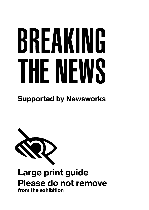# BREAKING THE NEWS

# Supported by Newsworks



# Large print guide Please do not remove from the exhibition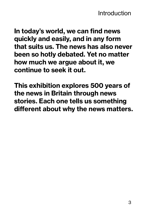In today's world, we can find news quickly and easily, and in any form that suits us. The news has also never been so hotly debated. Yet no matter how much we argue about it, we continue to seek it out.

This exhibition explores 500 years of the news in Britain through news stories. Each one tells us something different about why the news matters.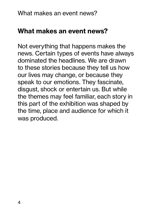Not everything that happens makes the news. Certain types of events have always dominated the headlines. We are drawn to these stories because they tell us how our lives may change, or because they speak to our emotions. They fascinate, disgust, shock or entertain us. But while the themes may feel familiar, each story in this part of the exhibition was shaped by the time, place and audience for which it was produced.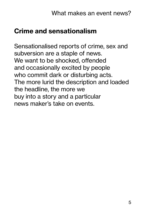# Crime and sensationalism

Sensationalised reports of crime, sex and subversion are a staple of news. We want to be shocked, offended and occasionally excited by people who commit dark or disturbing acts. The more lurid the description and loaded the headline, the more we buy into a story and a particular news maker's take on events.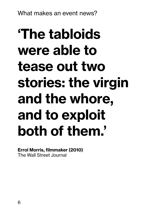# 'The tabloids were able to tease out two stories: the virgin and the whore, and to exploit both of them.'

# Errol Morris, filmmaker (2010)

The Wall Street Journal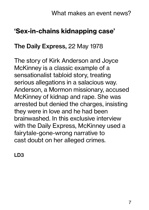# 'Sex-in-chains kidnapping case'

#### The Daily Express, 22 May 1978

The story of Kirk Anderson and Joyce McKinney is a classic example of a sensationalist tabloid story, treating serious allegations in a salacious way. Anderson, a Mormon missionary, accused McKinney of kidnap and rape. She was arrested but denied the charges, insisting they were in love and he had been brainwashed. In this exclusive interview with the Daily Express, McKinney used a fairytale-gone-wrong narrative to cast doubt on her alleged crimes.

LD3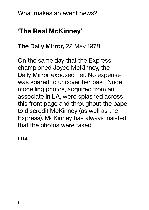# 'The Real McKinney'

# The Daily Mirror, 22 May 1978

On the same day that the Express championed Joyce McKinney, the Daily Mirror exposed her. No expense was spared to uncover her past. Nude modelling photos, acquired from an associate in LA, were splashed across this front page and throughout the paper to discredit McKinney (as well as the Express). McKinney has always insisted that the photos were faked.

LD4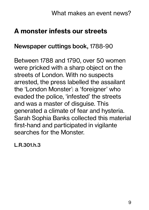# A monster infests our streets

#### Newspaper cuttings book, 1788-90

Between 1788 and 1790, over 50 women were pricked with a sharp object on the streets of London. With no suspects arrested, the press labelled the assailant the 'London Monster': a 'foreigner' who evaded the police, 'infested' the streets and was a master of disguise. This generated a climate of fear and hysteria. Sarah Sophia Banks collected this material first-hand and participated in vigilante searches for the Monster.

L.R.301.h.3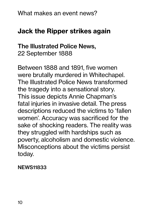# Jack the Ripper strikes again

### The Illustrated Police News, 22 September 1888

Between 1888 and 1891, five women were brutally murdered in Whitechapel. The Illustrated Police News transformed the tragedy into a sensational story. This issue depicts Annie Chapman's fatal injuries in invasive detail. The press descriptions reduced the victims to 'fallen women'. Accuracy was sacrificed for the sake of shocking readers. The reality was they struggled with hardships such as poverty, alcoholism and domestic violence. Misconceptions about the victims persist today.

#### NEWS11833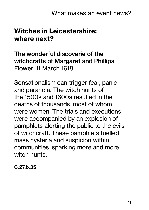# Witches in Leicestershire: where next?

The wonderful discoverie of the witchcrafts of Margaret and Phillipa Flower, 11 March 1618

Sensationalism can trigger fear, panic and paranoia. The witch hunts of the 1500s and 1600s resulted in the deaths of thousands, most of whom were women. The trials and executions were accompanied by an explosion of pamphlets alerting the public to the evils of witchcraft. These pamphlets fuelled mass hysteria and suspicion within communities, sparking more and more witch hunts.

C.27.b.35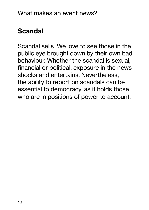# Scandal

Scandal sells. We love to see those in the public eye brought down by their own bad behaviour. Whether the scandal is sexual, financial or political, exposure in the news shocks and entertains. Nevertheless, the ability to report on scandals can be essential to democracy, as it holds those who are in positions of power to account.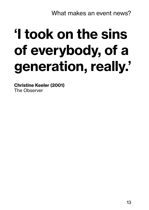# 'I took on the sins of everybody, of a generation, really.'

Christine Keeler (2001) The Observer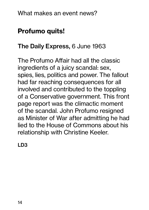# Profumo quits!

# The Daily Express, 6 June 1963

The Profumo Affair had all the classic ingredients of a juicy scandal: sex, spies, lies, politics and power. The fallout had far reaching consequences for all involved and contributed to the toppling of a Conservative government. This front page report was the climactic moment of the scandal. John Profumo resigned as Minister of War after admitting he had lied to the House of Commons about his relationship with Christine Keeler.

LD3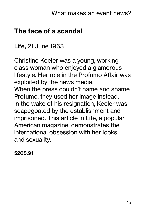# The face of a scandal

Life, 21 June 1963

Christine Keeler was a young, working class woman who enjoyed a glamorous lifestyle. Her role in the Profumo Affair was exploited by the news media. When the press couldn't name and shame Profumo, they used her image instead. In the wake of his resignation, Keeler was scapegoated by the establishment and imprisoned. This article in Life, a popular American magazine, demonstrates the international obsession with her looks and sexuality.

5208.91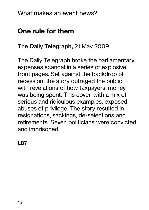# One rule for them

#### The Daily Telegraph, 21 May 2009

The Daily Telegraph broke the parliamentary expenses scandal in a series of explosive front pages. Set against the backdrop of recession, the story outraged the public with revelations of how taxpayers' money was being spent. This cover, with a mix of serious and ridiculous examples, exposed abuses of privilege. The story resulted in resignations, sackings, de-selections and retirements. Seven politicians were convicted and imprisoned.

LD7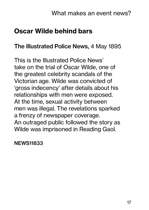# Oscar Wilde behind bars

#### The Illustrated Police News, 4 May 1895

This is the Illustrated Police News' take on the trial of Oscar Wilde, one of the greatest celebrity scandals of the Victorian age. Wilde was convicted of 'gross indecency' after details about his relationships with men were exposed. At the time, sexual activity between men was illegal. The revelations sparked a frenzy of newspaper coverage. An outraged public followed the story as Wilde was imprisoned in Reading Gaol.

NEWS11833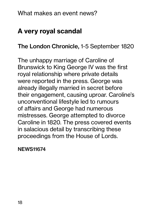# A very royal scandal

The London Chronicle, 1-5 September 1820

The unhappy marriage of Caroline of Brunswick to King George IV was the first royal relationship where private details were reported in the press. George was already illegally married in secret before their engagement, causing uproar. Caroline's unconventional lifestyle led to rumours of affairs and George had numerous mistresses. George attempted to divorce Caroline in 1820. The press covered events in salacious detail by transcribing these proceedings from the House of Lords.

NEWS11674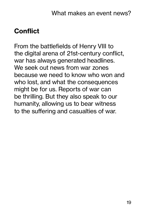# **Conflict**

From the battlefields of Henry VIII to the digital arena of 21st-century conflict, war has always generated headlines. We seek out news from war zones because we need to know who won and who lost, and what the consequences might be for us. Reports of war can be thrilling. But they also speak to our humanity, allowing us to bear witness to the suffering and casualties of war.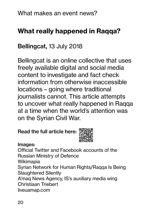# What really happened in Raqqa?

# Bellingcat, 13 July 2018

Bellingcat is an online collective that uses freely available digital and social media content to investigate and fact check information from otherwise inaccessible locations – going where traditional journalists cannot. This article attempts to uncover what really happened in Raqqa at a time when the world's attention was on the Syrian Civil War.

#### Read the full article here:



#### Images:

Official Twitter and Facebook accounts of the Russian Ministry of Defence Wikimapia Syrian Network for Human Rights/Raqqa Is Being Slaughtered Silently A'maq News Agency, IS's auxiliary media wing Christiaan Triebert liveuamap.com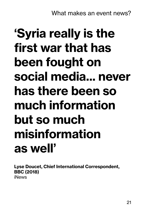# 'Syria really is the first war that has been fought on social media... never has there been so much information but so much misinformation as well'

Lyse Doucet, Chief International Correspondent, BBC (2018) iNews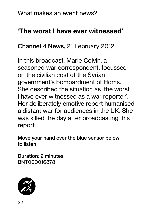# 'The worst I have ever witnessed'

#### Channel 4 News, 21 February 2012

In this broadcast, Marie Colvin, a seasoned war correspondent, focussed on the civilian cost of the Syrian government's bombardment of Homs. She described the situation as 'the worst I have ever witnessed as a war reporter'. Her deliberately emotive report humanised a distant war for audiences in the UK. She was killed the day after broadcasting this report.

Move your hand over the blue sensor below to listen

Duration: 2 minutes BNT000016878

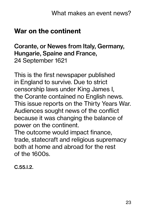# War on the continent

Corante, or Newes from Italy, Germany, Hungarie, Spaine and France, 24 September 1621

This is the first newspaper published in England to survive. Due to strict censorship laws under King James I, the Corante contained no English news. This issue reports on the Thirty Years War. Audiences sought news of the conflict because it was changing the balance of power on the continent.

The outcome would impact finance, trade, statecraft and religious supremacy both at home and abroad for the rest of the 1600s.

C.55.l.2.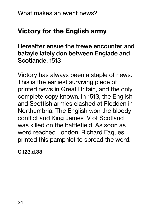# Victory for the English army

Hereafter ensue the trewe encounter and batayle lately don between Englade and Scotlande, 1513

Victory has always been a staple of news. This is the earliest surviving piece of printed news in Great Britain, and the only complete copy known. In 1513, the English and Scottish armies clashed at Flodden in Northumbria. The English won the bloody conflict and King James IV of Scotland was killed on the battlefield. As soon as word reached London, Richard Faques printed this pamphlet to spread the word.

C.123.d.33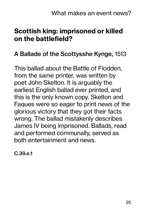# Scottish king: imprisoned or killed on the battlefield?

#### A Ballade of the Scottysshe Kynge, 1513

This ballad about the Battle of Flodden, from the same printer, was written by poet John Skelton. It is arguably the earliest English ballad ever printed, and this is the only known copy. Skelton and Faques were so eager to print news of the glorious victory that they got their facts wrong. The ballad mistakenly describes James IV being imprisoned. Ballads, read and performed communally, served as both entertainment and news.

C.39.e.1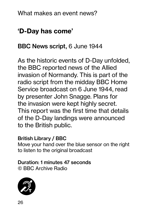# 'D-Day has come'

# BBC News script, 6 June 1944

As the historic events of D-Day unfolded, the BBC reported news of the Allied invasion of Normandy. This is part of the radio script from the midday BBC Home Service broadcast on 6 June 1944, read by presenter John Snagge. Plans for the invasion were kept highly secret. This report was the first time that details of the D-Day landings were announced to the British public.

#### British Library / BBC

Move your hand over the blue sensor on the right to listen to the original broadcast

#### Duration: 1 minutes 47 seconds © BBC Archive Radio

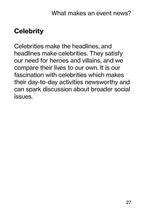# **Celebrity**

Celebrities make the headlines, and headlines make celebrities. They satisfy our need for heroes and villains, and we compare their lives to our own. It is our fascination with celebrities which makes their day-to-day activities newsworthy and can spark discussion about broader social issues.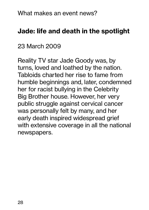# Jade: life and death in the spotlight

# 23 March 2009

Reality TV star Jade Goody was, by turns, loved and loathed by the nation. Tabloids charted her rise to fame from humble beginnings and, later, condemned her for racist bullying in the Celebrity Big Brother house. However, her very public struggle against cervical cancer was personally felt by many, and her early death inspired widespread grief with extensive coverage in all the national newspapers.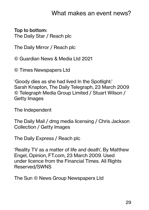#### Top to bottom: The Daily Star / Reach plc

The Daily Mirror / Reach plc

© Guardian News & Media Ltd 2021

© Times Newspapers Ltd

'Goody dies as she had lived In the Spotlight:' Sarah Knapton, The Daily Telegraph, 23 March 2009 © Telegraph Media Group Limited / Stuart Wilson / Getty Images

The Independent

The Daily Mail / dmg media licensing / Chris Jackson Collection / Getty Images

The Daily Express / Reach plc

'Reality TV as a matter of life and death', By Matthew Engel, Opinion, FT.com, 23 March 2009. Used under licence from the Financial Times. All Rights Reserved/SWNS

The Sun © News Group Newspapers Ltd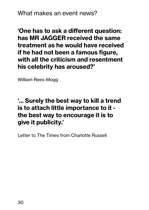'One has to ask a different question: has MR JAGGER received the same treatment as he would have received if he had not been a famous figure, with all the criticism and resentment his celebrity has aroused?'

William Rees-Mogg

#### '... Surely the best way to kill a trend is to attach little importance to it the best way to encourage it is to give it publicity.'

Letter to The Times from Charlotte Russell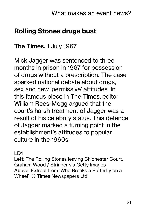# Rolling Stones drugs bust

#### The Times, 1 July 1967

Mick Jagger was sentenced to three months in prison in 1967 for possession of drugs without a prescription. The case sparked national debate about drugs, sex and new 'permissive' attitudes. In this famous piece in The Times, editor William Rees-Mogg argued that the court's harsh treatment of Jagger was a result of his celebrity status. This defence of Jagger marked a turning point in the establishment's attitudes to popular culture in the 1960s.

#### LD1

Left: The Rolling Stones leaving Chichester Court. Graham Wood / Stringer via Getty Images Above: Extract from 'Who Breaks a Butterfly on a Wheel' © Times Newspapers Ltd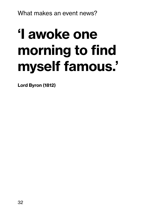# 'I awoke one morning to find myself famous.'

Lord Byron (1812)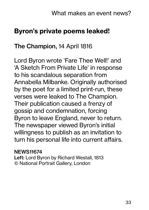# Byron's private poems leaked!

### The Champion, 14 April 1816

Lord Byron wrote 'Fare Thee Well!' and 'A Sketch From Private Life' in response to his scandalous separation from Annabella Milbanke. Originally authorised by the poet for a limited print-run, these verses were leaked to The Champion. Their publication caused a frenzy of gossip and condemnation, forcing Byron to leave England, never to return. The newspaper viewed Byron's initial willingness to publish as an invitation to turn his personal life into current affairs.

#### NEWS11674

Left: Lord Byron by Richard Westall, 1813 © National Portrait Gallery, London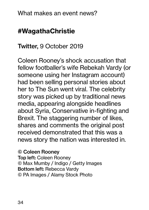# #WagathaChristie

### Twitter, 9 October 2019

Coleen Rooney's shock accusation that fellow footballer's wife Rebekah Vardy (or someone using her Instagram account) had been selling personal stories about her to The Sun went viral. The celebrity story was picked up by traditional news media, appearing alongside headlines about Syria, Conservative in-fighting and Brexit. The staggering number of likes, shares and comments the original post received demonstrated that this was a news story the nation was interested in.

© Coleen Rooney

Top left: Coleen Rooney © Max Mumby / Indigo / Getty Images Bottom left: Rebecca Vardy © PA Images / Alamy Stock Photo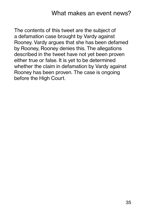The contents of this tweet are the subject of a defamation case brought by Vardy against Rooney. Vardy argues that she has been defamed by Rooney, Rooney denies this. The allegations described in the tweet have not yet been proven either true or false. It is yet to be determined whether the claim in defamation by Vardy against Rooney has been proven. The case is ongoing before the High Court.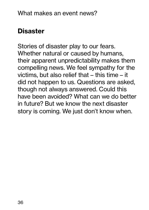# **Disaster**

Stories of disaster play to our fears. Whether natural or caused by humans, their apparent unpredictability makes them compelling news. We feel sympathy for the victims, but also relief that – this time – it did not happen to us. Questions are asked, though not always answered. Could this have been avoided? What can we do better in future? But we know the next disaster story is coming. We just don't know when.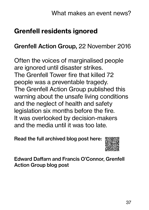# Grenfell residents ignored

### Grenfell Action Group, 22 November 2016

Often the voices of marginalised people are ignored until disaster strikes. The Grenfell Tower fire that killed 72 people was a preventable tragedy. The Grenfell Action Group published this warning about the unsafe living conditions and the neglect of health and safety legislation six months before the fire. It was overlooked by decision-makers and the media until it was too late.

Read the full archived blog post here:



Edward Daffarn and Francis O'Connor, Grenfell Action Group blog post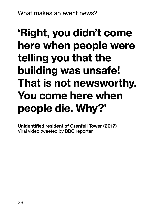## 'Right, you didn't come here when people were telling you that the building was unsafe! That is not newsworthy. You come here when people die. Why?'

Unidentified resident of Grenfell Tower (2017) Viral video tweeted by BBC reporter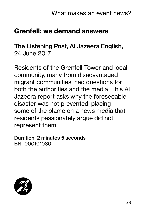## Grenfell: we demand answers

#### The Listening Post, Al Jazeera English, 24 June 2017

Residents of the Grenfell Tower and local community, many from disadvantaged migrant communities, had questions for both the authorities and the media. This Al Jazeera report asks why the foreseeable disaster was not prevented, placing some of the blame on a news media that residents passionately argue did not represent them.

Duration: 2 minutes 5 seconds BNT000101080

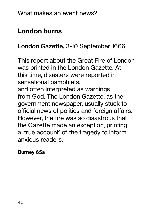## London burns

## London Gazette, 3-10 September 1666

This report about the Great Fire of London was printed in the London Gazette. At this time, disasters were reported in sensational pamphlets, and often interpreted as warnings from God. The London Gazette, as the government newspaper, usually stuck to official news of politics and foreign affairs. However, the fire was so disastrous that the Gazette made an exception, printing a 'true account' of the tragedy to inform anxious readers.

#### Burney 65a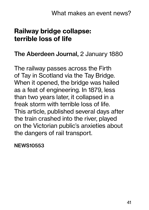## Railway bridge collapse: terrible loss of life

#### The Aberdeen Journal, 2 January 1880

The railway passes across the Firth of Tay in Scotland via the Tay Bridge. When it opened, the bridge was hailed as a feat of engineering. In 1879, less than two years later, it collapsed in a freak storm with terrible loss of life. This article, published several days after the train crashed into the river, played on the Victorian public's anxieties about the dangers of rail transport.

NEWS10553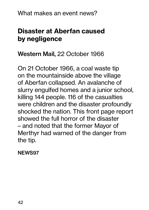## Disaster at Aberfan caused by negligence

#### Western Mail, 22 October 1966

On 21 October 1966, a coal waste tip on the mountainside above the village of Aberfan collapsed. An avalanche of slurry engulfed homes and a junior school, killing 144 people. 116 of the casualties were children and the disaster profoundly shocked the nation. This front page report showed the full horror of the disaster – and noted that the former Mayor of Merthyr had warned of the danger from the tip.

#### NEWS97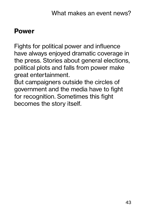### Power

Fights for political power and influence have always enjoyed dramatic coverage in the press. Stories about general elections, political plots and falls from power make great entertainment.

But campaigners outside the circles of government and the media have to fight for recognition. Sometimes this fight becomes the story itself.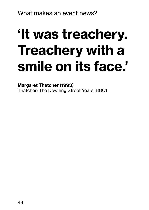# 'It was treachery. Treachery with a smile on its face.'

Margaret Thatcher (1993) Thatcher: The Downing Street Years, BBC1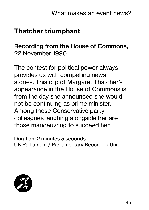## Thatcher triumphant

### Recording from the House of Commons, 22 November 1990

The contest for political power always provides us with compelling news stories. This clip of Margaret Thatcher's appearance in the House of Commons is from the day she announced she would not be continuing as prime minister. Among those Conservative party colleagues laughing alongside her are those manoeuvring to succeed her.

Duration: 2 minutes 5 seconds UK Parliament / Parliamentary Recording Unit

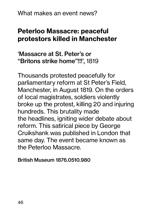## Peterloo Massacre: peaceful protestors killed in Manchester

#### 'Massacre at St. Peter's or "Britons strike home"!!!', 1819

Thousands protested peacefully for parliamentary reform at St Peter's Field, Manchester, in August 1819. On the orders of local magistrates, soldiers violently broke up the protest, killing 20 and injuring hundreds. This brutality made the headlines, igniting wider debate about reform. This satirical piece by George Cruikshank was published in London that same day. The event became known as the Peterloo Massacre.

British Museum 1876.0510.980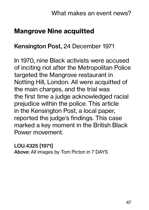## Mangrove Nine acquitted

#### Kensington Post, 24 December 1971

In 1970, nine Black activists were accused of inciting riot after the Metropolitan Police targeted the Mangrove restaurant in Notting Hill, London. All were acquitted of the main charges, and the trial was the first time a judge acknowledged racial prejudice within the police. This article in the Kensington Post, a local paper, reported the judge's findings. This case marked a key moment in the British Black Power movement.

LOU.4325 [1971] Above: All images by Tom Picton in 7 DAYS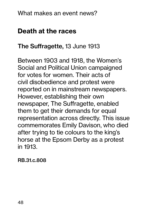## Death at the races

#### The Suffragette, 13 June 1913

Between 1903 and 1918, the Women's Social and Political Union campaigned for votes for women. Their acts of civil disobedience and protest were reported on in mainstream newspapers. However, establishing their own newspaper, The Suffragette, enabled them to get their demands for equal representation across directly. This issue commemorates Emily Davison, who died after trying to tie colours to the king's horse at the Epsom Derby as a protest in 1913.

RB.31.c.808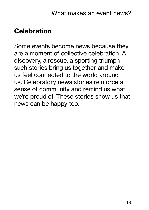## **Celebration**

Some events become news because they are a moment of collective celebration. A discovery, a rescue, a sporting triumph – such stories bring us together and make us feel connected to the world around us. Celebratory news stories reinforce a sense of community and remind us what we're proud of. These stories show us that news can be happy too.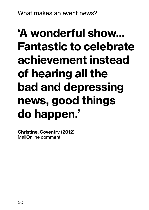## 'A wonderful show... Fantastic to celebrate achievement instead of hearing all the bad and depressing news, good things do happen.'

Christine, Coventry (2012) MailOnline comment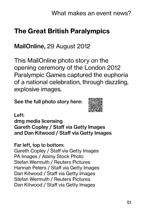## The Great British Paralympics

### MailOnline, 29 August 2012

This MailOnline photo story on the opening ceremony of the London 2012 Paralympic Games captured the euphoria of a national celebration, through dazzling, explosive images.

See the full photo story here:



Left:

dmg media licensing Gareth Copley / Staff via Getty Images and Dan Kitwood / Staff via Getty Images

#### Far left, top to bottom:

Gareth Copley / Staff via Getty Images PA Images / Alamy Stock Photo Stefan Wermuth / Reuters Pictures Hannah Peters / Staff via Getty Images Dan Kitwood / Staff via Getty Images Stefan Wermuth / Reuters Pictures Dan Kitwood / Staff via Getty Images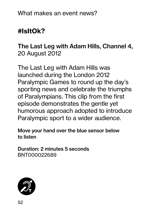## #IsItOk?

## The Last Leg with Adam Hills, Channel 4, 20 August 2012

The Last Leg with Adam Hills was launched during the London 2012 Paralympic Games to round up the day's sporting news and celebrate the triumphs of Paralympians. This clip from the first episode demonstrates the gentle yet humorous approach adopted to introduce Paralympic sport to a wider audience.

Move your hand over the blue sensor below to listen

Duration: 2 minutes 5 seconds BNT000022689

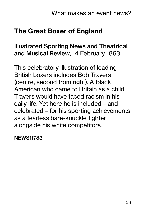## The Great Boxer of England

#### Illustrated Sporting News and Theatrical and Musical Review, 14 February 1863

This celebratory illustration of leading British boxers includes Bob Travers (centre, second from right). A Black American who came to Britain as a child, Travers would have faced racism in his daily life. Yet here he is included – and celebrated – for his sporting achievements as a fearless bare-knuckle fighter alongside his white competitors.

NEWS11783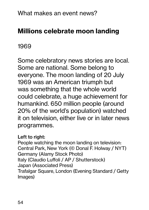## Millions celebrate moon landing

1969

Some celebratory news stories are local. Some are national. Some belong to everyone. The moon landing of 20 July 1969 was an American triumph but was something that the whole world could celebrate, a huge achievement for humankind. 650 million people (around 20% of the world's population) watched it on television, either live or in later news programmes.

#### Left to right:

People watching the moon landing on television: Central Park, New York (© Donal F. Holway / NYT) Germany (Alamy Stock Photo) Italy (Claudio Luffoli / AP / Shutterstock) Japan (Associated Press) Trafalgar Square, London (Evening Standard / Getty Images)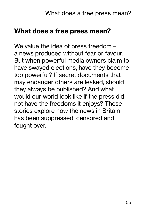### What does a free press mean?

We value the idea of press freedom – a news produced without fear or favour. But when powerful media owners claim to have swayed elections, have they become too powerful? If secret documents that may endanger others are leaked, should they always be published? And what would our world look like if the press did not have the freedoms it enjoys? These stories explore how the news in Britain has been suppressed, censored and fought over.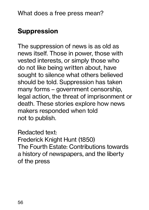## Suppression

The suppression of news is as old as news itself. Those in power, those with vested interests, or simply those who do not like being written about, have sought to silence what others believed should be told. Suppression has taken many forms – government censorship, legal action, the threat of imprisonment or death. These stories explore how news makers responded when told not to publish.

Redacted text: Frederick Knight Hunt (1850) The Fourth Estate: Contributions towards a history of newspapers, and the liberty of the press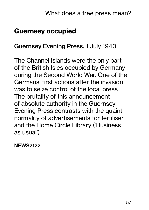## Guernsey occupied

#### Guernsey Evening Press, 1 July 1940

The Channel Islands were the only part of the British Isles occupied by Germany during the Second World War. One of the Germans' first actions after the invasion was to seize control of the local press. The brutality of this announcement of absolute authority in the Guernsey Evening Press contrasts with the quaint normality of advertisements for fertiliser and the Home Circle Library ('Business as usual').

NEWS2122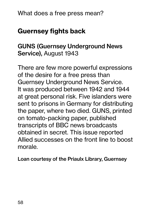## Guernsey fights back

### GUNS (Guernsey Underground News Service), August 1943

There are few more powerful expressions of the desire for a free press than Guernsey Underground News Service. It was produced between 1942 and 1944 at great personal risk. Five islanders were sent to prisons in Germany for distributing the paper, where two died. GUNS, printed on tomato-packing paper, published transcripts of BBC news broadcasts obtained in secret. This issue reported Allied successes on the front line to boost morale.

Loan courtesy of the Priaulx Library, Guernsey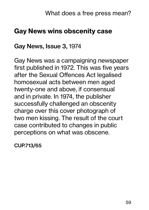## Gay News wins obscenity case

#### Gay News, Issue 3, 1974

Gay News was a campaigning newspaper first published in 1972. This was five years after the Sexual Offences Act legalised homosexual acts between men aged twenty-one and above, if consensual and in private. In 1974, the publisher successfully challenged an obscenity charge over this cover photograph of two men kissing. The result of the court case contributed to changes in public perceptions on what was obscene.

CUP.713/65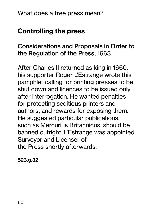## Controlling the press

### Considerations and Proposals in Order to the Regulation of the Press, 1663

After Charles II returned as king in 1660, his supporter Roger L'Estrange wrote this pamphlet calling for printing presses to be shut down and licences to be issued only after interrogation. He wanted penalties for protecting seditious printers and authors, and rewards for exposing them. He suggested particular publications, such as Mercurius Britannicus, should be banned outright. L'Estrange was appointed Surveyor and Licenser of the Press shortly afterwards.

523.g.32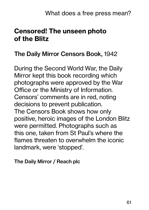## Censored! The unseen photo of the Blitz

#### The Daily Mirror Censors Book, 1942

During the Second World War, the Daily Mirror kept this book recording which photographs were approved by the War Office or the Ministry of Information. Censors' comments are in red, noting decisions to prevent publication. The Censors Book shows how only positive, heroic images of the London Blitz were permitted. Photographs such as this one, taken from St Paul's where the flames threaten to overwhelm the iconic landmark, were 'stopped'.

The Daily Mirror / Reach plc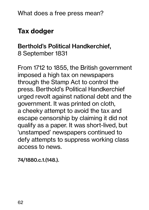## Tax dodger

## Berthold's Political Handkerchief, 8 September 1831

From 1712 to 1855, the British government imposed a high tax on newspapers through the Stamp Act to control the press. Berthold's Political Handkerchief urged revolt against national debt and the government. It was printed on cloth, a cheeky attempt to avoid the tax and escape censorship by claiming it did not qualify as a paper. It was short-lived, but 'unstamped' newspapers continued to defy attempts to suppress working class access to news.

74/1880.c.1.(148.).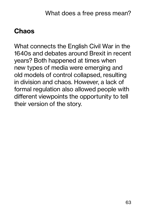## Chaos

What connects the English Civil War in the 1640s and debates around Brexit in recent years? Both happened at times when new types of media were emerging and old models of control collapsed, resulting in division and chaos. However, a lack of formal regulation also allowed people with different viewpoints the opportunity to tell their version of the story.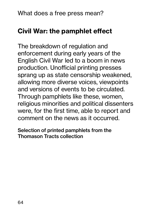## Civil War: the pamphlet effect

The breakdown of regulation and enforcement during early years of the English Civil War led to a boom in news production. Unofficial printing presses sprang up as state censorship weakened, allowing more diverse voices, viewpoints and versions of events to be circulated. Through pamphlets like these, women, religious minorities and political dissenters were, for the first time, able to report and comment on the news as it occurred.

Selection of printed pamphlets from the Thomason Tracts collection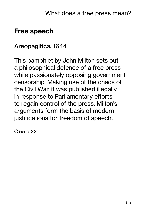## Free speech

#### Areopagitica, 1644

This pamphlet by John Milton sets out a philosophical defence of a free press while passionately opposing government censorship. Making use of the chaos of the Civil War, it was published illegally in response to Parliamentary efforts to regain control of the press. Milton's arguments form the basis of modern justifications for freedom of speech.

C.55.c.22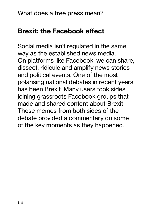## Brexit: the Facebook effect

Social media isn't regulated in the same way as the established news media. On platforms like Facebook, we can share, dissect, ridicule and amplify news stories and political events. One of the most polarising national debates in recent years has been Brexit. Many users took sides, joining grassroots Facebook groups that made and shared content about Brexit. These memes from both sides of the debate provided a commentary on some of the key moments as they happened.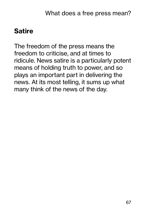## **Satire**

The freedom of the press means the freedom to criticise, and at times to ridicule. News satire is a particularly potent means of holding truth to power, and so plays an important part in delivering the news. At its most telling, it sums up what many think of the news of the day.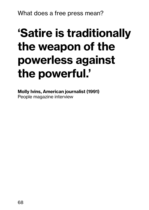## 'Satire is traditionally the weapon of the powerless against the powerful.'

Molly Ivins, American journalist (1991) People magazine interview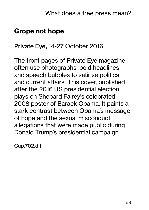## Grope not hope

#### Private Eye, 14-27 October 2016

The front pages of Private Eye magazine often use photographs, bold headlines and speech bubbles to satirise politics and current affairs. This cover, published after the 2016 US presidential election, plays on Shepard Fairey's celebrated 2008 poster of Barack Obama. It paints a stark contrast between Obama's message of hope and the sexual misconduct allegations that were made public during Donald Trump's presidential campaign.

Cup.702.d.1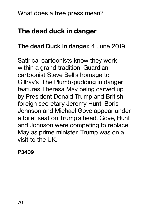## The dead duck in danger

#### The dead Duck in danger, 4 June 2019

Satirical cartoonists know they work within a grand tradition. Guardian cartoonist Steve Bell's homage to Gillray's 'The Plumb-pudding in danger' features Theresa May being carved up by President Donald Trump and British foreign secretary Jeremy Hunt. Boris Johnson and Michael Gove appear under a toilet seat on Trump's head. Gove, Hunt and Johnson were competing to replace May as prime minister. Trump was on a visit to the UK.

P3409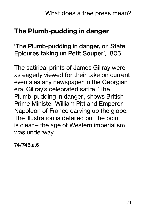## The Plumb-pudding in danger

## 'The Plumb-pudding in danger, or, State Epicures taking un Petit Souper', 1805

The satirical prints of James Gillray were as eagerly viewed for their take on current events as any newspaper in the Georgian era. Gillray's celebrated satire, 'The Plumb-pudding in danger', shows British Prime Minister William Pitt and Emperor Napoleon of France carving up the globe. The illustration is detailed but the point is clear – the age of Western imperialism was underway.

74/745.a.6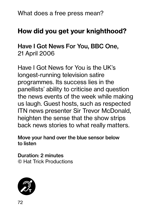## How did you get your knighthood?

Have I Got News For You, BBC One, 21 April 2006

Have I Got News for You is the UK's longest-running television satire programmes. Its success lies in the panellists' ability to criticise and question the news events of the week while making us laugh. Guest hosts, such as respected ITN news presenter Sir Trevor McDonald, heighten the sense that the show strips back news stories to what really matters.

Move your hand over the blue sensor below to listen

Duration: 2 minutes © Hat Trick Productions

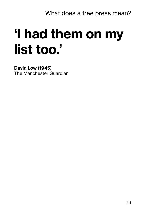# 'I had them on my list too.'

#### David Low (1945) The Manchester Guardian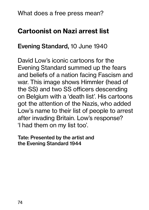# Cartoonist on Nazi arrest list

#### Evening Standard, 10 June 1940

David Low's iconic cartoons for the Evening Standard summed up the fears and beliefs of a nation facing Fascism and war. This image shows Himmler (head of the SS) and two SS officers descending on Belgium with a 'death list'. His cartoons got the attention of the Nazis, who added Low's name to their list of people to arrest after invading Britain. Low's response? 'I had them on my list too'.

Tate: Presented by the artist and the Evening Standard 1944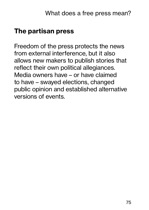## The partisan press

Freedom of the press protects the news from external interference, but it also allows new makers to publish stories that reflect their own political allegiances. Media owners have – or have claimed to have – swayed elections, changed public opinion and established alternative versions of events.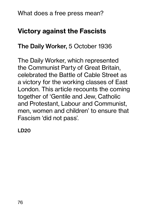# Victory against the Fascists

### The Daily Worker, 5 October 1936

The Daily Worker, which represented the Communist Party of Great Britain, celebrated the Battle of Cable Street as a victory for the working classes of East London. This article recounts the coming together of 'Gentile and Jew, Catholic and Protestant, Labour and Communist, men, women and children' to ensure that Fascism 'did not pass'.

LD20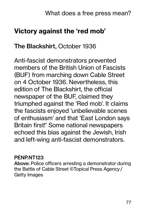# Victory against the 'red mob'

#### The Blackshirt, October 1936

Anti-fascist demonstrators prevented members of the British Union of Fascists (BUF) from marching down Cable Street on 4 October 1936. Nevertheless, this edition of The Blackshirt, the official newspaper of the BUF, claimed they triumphed against the 'Red mob'. It claims the fascists enjoyed 'unbelievable scenes of enthusiasm' and that 'East London says Britain first!' Some national newspapers echoed this bias against the Jewish, Irish and left-wing anti-fascist demonstrators.

#### PENP.NT123

Above: Police officers arresting a demonstrator during the Battle of Cable Street ©Topical Press Agency / Getty Images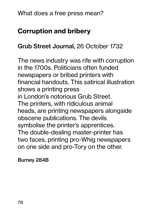# Corruption and bribery

#### Grub Street Journal, 26 October 1732

The news industry was rife with corruption in the 1700s. Politicians often funded newspapers or bribed printers with financial handouts. This satirical illustration shows a printing press in London's notorious Grub Street. The printers, with ridiculous animal heads, are printing newspapers alongside obscene publications. The devils symbolise the printer's apprentices. The double-dealing master-printer has two faces, printing pro-Whig newspapers on one side and pro-Tory on the other.

Burney 284B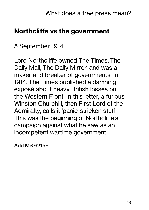# Northcliffe vs the government

#### 5 September 1914

Lord Northcliffe owned The Times, The Daily Mail, The Daily Mirror, and was a maker and breaker of governments. In 1914, The Times published a damning exposé about heavy British losses on the Western Front. In this letter, a furious Winston Churchill, then First Lord of the Admiralty, calls it 'panic-stricken stuff'. This was the beginning of Northcliffe's campaign against what he saw as an incompetent wartime government.

Add MS 62156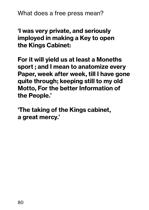'I was very private, and seriously imployed in making a Key to open the Kings Cabinet:

For it will yield us at least a Moneths sport ; and I mean to anatomize every Paper, week after week, till I have gone quite through; keeping still to my old Motto, For the better Information of the People.'

'The taking of the Kings cabinet, a great mercy.'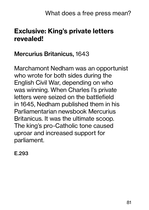# Exclusive: King's private letters revealed!

### Mercurius Britanicus, 1643

Marchamont Nedham was an opportunist who wrote for both sides during the English Civil War, depending on who was winning. When Charles I's private letters were seized on the battlefield in 1645, Nedham published them in his Parliamentarian newsbook Mercurius Britanicus. It was the ultimate scoop. The king's pro-Catholic tone caused uproar and increased support for parliament.

E.293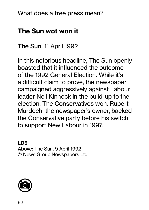# The Sun wot won it

### The Sun, 11 April 1992

In this notorious headline, The Sun openly boasted that it influenced the outcome of the 1992 General Election. While it's a difficult claim to prove, the newspaper campaigned aggressively against Labour leader Neil Kinnock in the build-up to the election. The Conservatives won. Rupert Murdoch, the newspaper's owner, backed the Conservative party before his switch to support New Labour in 1997.

LD5 Above: The Sun, 9 April 1992 © News Group Newspapers Ltd

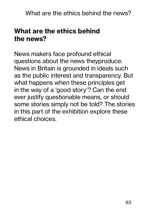# What are the ethics behind the news?

News makers face profound ethical questions about the news theyproduce. News in Britain is grounded in ideals such as the public interest and transparency. But what happens when these principles get in the way of a 'good story'? Can the end ever justify questionable means, or should some stories simply not be told? The stories in this part of the exhibition explore these ethical choices.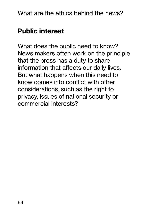# Public interest

What does the public need to know? News makers often work on the principle that the press has a duty to share information that affects our daily lives. But what happens when this need to know comes into conflict with other considerations, such as the right to privacy, issues of national security or commercial interests?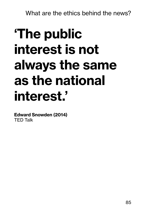# 'The public interest is not always the same as the national interest.'

Edward Snowden (2014) TED Talk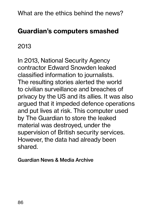# Guardian's computers smashed

# 2013

In 2013, National Security Agency contractor Edward Snowden leaked classified information to journalists. The resulting stories alerted the world to civilian surveillance and breaches of privacy by the US and its allies. It was also argued that it impeded defence operations and put lives at risk. This computer used by The Guardian to store the leaked material was destroyed, under the supervision of British security services. However, the data had already been shared.

Guardian News & Media Archive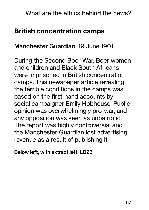## British concentration camps

#### Manchester Guardian, 19 June 1901

During the Second Boer War, Boer women and children and Black South Africans were imprisoned in British concentration camps. This newspaper article revealing the terrible conditions in the camps was based on the first-hand accounts by social campaigner Emily Hobhouse. Public opinion was overwhelmingly pro-war, and any opposition was seen as unpatriotic. The report was highly controversial and the Manchester Guardian lost advertising revenue as a result of publishing it.

Below left, with extract left: LD28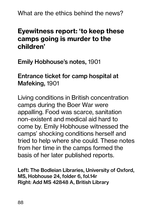# Eyewitness report: 'to keep these camps going is murder to the children'

Emily Hobhouse's notes, 1901

#### Entrance ticket for camp hospital at Mafeking, 1901

Living conditions in British concentration camps during the Boer War were appalling. Food was scarce, sanitation non-existent and medical aid hard to come by. Emily Hobhouse witnessed the camps' shocking conditions herself and tried to help where she could. These notes from her time in the camps formed the basis of her later published reports.

Left: The Bodleian Libraries, University of Oxford, MS, Hobhouse 24, folder 6, fol.14r Right: Add MS 42848 A, British Library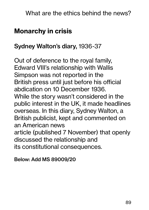# Monarchy in crisis

#### Sydney Walton's diary, 1936-37

Out of deference to the royal family, Edward VIII's relationship with Wallis Simpson was not reported in the British press until just before his official abdication on 10 December 1936. While the story wasn't considered in the public interest in the UK, it made headlines overseas. In this diary, Sydney Walton, a British publicist, kept and commented on an American news article (published 7 November) that openly discussed the relationship and its constitutional consequences.

Below: Add MS 89009/20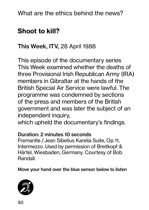# Shoot to kill?

### This Week, ITV, 28 April 1988

This episode of the documentary series This Week examined whether the deaths of three Provisional Irish Republican Army (IRA) members in Gibraltar at the hands of the British Special Air Service were lawful. The programme was condemned by sections of the press and members of the British government and was later the subject of an independent inquiry,

which upheld the documentary's findings.

#### Duration: 2 minutes 10 seconds

Fremantle / Jean Sibelius Karelia Suite, Op. 11, Intermezzo. Used by permission of Breitkopf & Härtel, Wiesbaden, Germany. Courtesy of Bob Randall.

Move your hand over the blue sensor below to listen

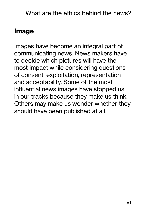# Image

Images have become an integral part of communicating news. News makers have to decide which pictures will have the most impact while considering questions of consent, exploitation, representation and acceptability. Some of the most influential news images have stopped us in our tracks because they make us think. Others may make us wonder whether they should have been published at all.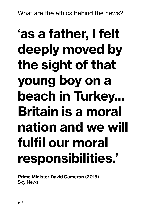# 'as a father, I felt deeply moved by the sight of that young boy on a beach in Turkey... Britain is a moral nation and we will fulfil our moral responsibilities.'

Prime Minister David Cameron (2015) Sky News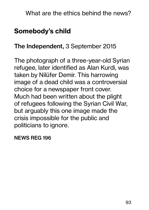# Somebody's child

#### The Independent, 3 September 2015

The photograph of a three-year-old Syrian refugee, later identified as Alan Kurdi, was taken by Nilüfer Demir. This harrowing image of a dead child was a controversial choice for a newspaper front cover. Much had been written about the plight of refugees following the Syrian Civil War, but arguably this one image made the crisis impossible for the public and politicians to ignore.

NEWS REG 196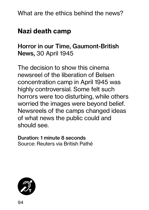# Nazi death camp

### Horror in our Time, Gaumont-British News, 30 April 1945

The decision to show this cinema newsreel of the liberation of Belsen concentration camp in April 1945 was highly controversial. Some felt such horrors were too disturbing, while others worried the images were beyond belief. Newsreels of the camps changed ideas of what news the public could and should see.

Duration: 1 minute 8 seconds Source: Reuters via British Pathé

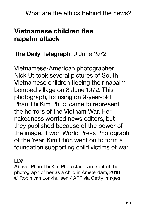# Vietnamese children flee napalm attack

### The Daily Telegraph, 9 June 1972

Vietnamese-American photographer Nick Ut took several pictures of South Vietnamese children fleeing their napalmbombed village on 8 June 1972. This photograph, focusing on 9-year-old Phan Thi Kim Phúc, came to represent the horrors of the Vietnam War. Her nakedness worried news editors, but they published because of the power of the image. It won World Press Photograph of the Year. Kim Phúc went on to form a foundation supporting child victims of war.

#### LD7

Above: Phan Thi Kim Phúc stands in front of the photograph of her as a child in Amsterdam, 2018 © Robin van Lonkhuijsen / AFP via Getty Images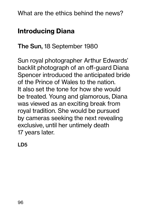# Introducing Diana

The Sun, 18 September 1980

Sun royal photographer Arthur Edwards' backlit photograph of an off-guard Diana Spencer introduced the anticipated bride of the Prince of Wales to the nation. It also set the tone for how she would be treated. Young and glamorous, Diana was viewed as an exciting break from royal tradition. She would be pursued by cameras seeking the next revealing exclusive, until her untimely death 17 years later.

LD5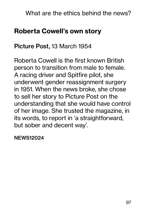### Roberta Cowell's own story

#### Picture Post, 13 March 1954

Roberta Cowell is the first known British person to transition from male to female. A racing driver and Spitfire pilot, she underwent gender reassignment surgery in 1951. When the news broke, she chose to sell her story to Picture Post on the understanding that she would have control of her image. She trusted the magazine, in its words, to report in 'a straightforward, but sober and decent way'.

NEWS12024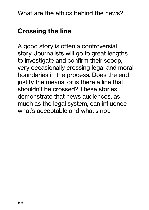# Crossing the line

A good story is often a controversial story. Journalists will go to great lengths to investigate and confirm their scoop, very occasionally crossing legal and moral boundaries in the process. Does the end justify the means, or is there a line that shouldn't be crossed? These stories demonstrate that news audiences, as much as the legal system, can influence what's acceptable and what's not.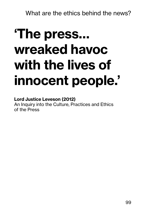# 'The press… wreaked havoc with the lives of innocent people.'

#### Lord Justice Leveson (2012)

An Inquiry into the Culture, Practices and Ethics of the Press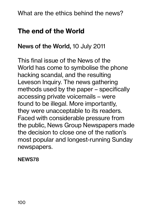#### The end of the World

#### News of the World, 10 July 2011

This final issue of the News of the World has come to symbolise the phone hacking scandal, and the resulting Leveson Inquiry. The news gathering methods used by the paper – specifically accessing private voicemails – were found to be illegal. More importantly, they were unacceptable to its readers. Faced with considerable pressure from the public, News Group Newspapers made the decision to close one of the nation's most popular and longest-running Sunday newspapers.

NEWS78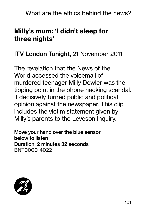# Milly's mum: 'I didn't sleep for three nights'

### ITV London Tonight, 21 November 2011

The revelation that the News of the World accessed the voicemail of murdered teenager Milly Dowler was the tipping point in the phone hacking scandal. It decisively turned public and political opinion against the newspaper. This clip includes the victim statement given by Milly's parents to the Leveson Inquiry.

Move your hand over the blue sensor below to listen Duration: 2 minutes 32 seconds BNT000014022

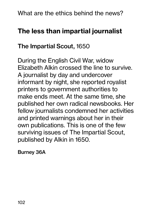# The less than impartial journalist

### The Impartial Scout, 1650

During the English Civil War, widow Elizabeth Alkin crossed the line to survive. A journalist by day and undercover informant by night, she reported royalist printers to government authorities to make ends meet. At the same time, she published her own radical newsbooks. Her fellow journalists condemned her activities and printed warnings about her in their own publications. This is one of the few surviving issues of The Impartial Scout, published by Alkin in 1650.

Burney 36A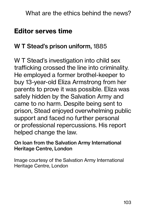## Editor serves time

#### W T Stead's prison uniform, 1885

W T Stead's investigation into child sex trafficking crossed the line into criminality. He employed a former brothel-keeper to buy 13-year-old Eliza Armstrong from her parents to prove it was possible. Eliza was safely hidden by the Salvation Army and came to no harm. Despite being sent to prison, Stead enjoyed overwhelming public support and faced no further personal or professional repercussions. His report helped change the law.

#### On loan from the Salvation Army International Heritage Centre, London

Image courtesy of the Salvation Army International Heritage Centre, London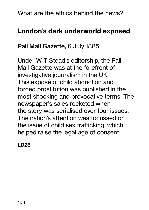# London's dark underworld exposed

#### Pall Mall Gazette, 6 July 1885

Under W T Stead's editorship, the Pall Mall Gazette was at the forefront of investigative journalism in the UK. This exposé of child abduction and forced prostitution was published in the most shocking and provocative terms. The newspaper's sales rocketed when the story was serialised over four issues. The nation's attention was focussed on the issue of child sex trafficking, which helped raise the legal age of consent.

LD28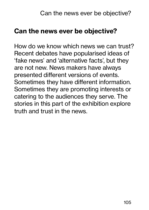## Can the news ever be objective?

How do we know which news we can trust? Recent debates have popularised ideas of 'fake news' and 'alternative facts', but they are not new. News makers have always presented different versions of events. Sometimes they have different information. Sometimes they are promoting interests or catering to the audiences they serve. The stories in this part of the exhibition explore truth and trust in the news.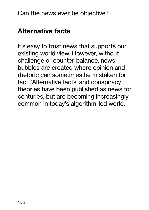# Alternative facts

It's easy to trust news that supports our existing world view. However, without challenge or counter-balance, news bubbles are created where opinion and rhetoric can sometimes be mistaken for fact. 'Alternative facts' and conspiracy theories have been published as news for centuries, but are becoming increasingly common in today's algorithm-led world.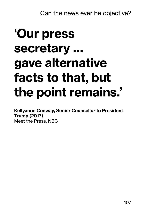# 'Our press secretary … gave alternative facts to that, but the point remains.'

Kellyanne Conway, Senior Counsellor to President Trump (2017)

Meet the Press, NBC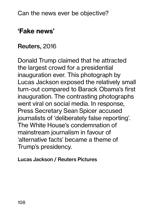# 'Fake news'

#### Reuters, 2016

Donald Trump claimed that he attracted the largest crowd for a presidential inauguration ever. This photograph by Lucas Jackson exposed the relatively small turn-out compared to Barack Obama's first inauguration. The contrasting photographs went viral on social media. In response, Press Secretary Sean Spicer accused journalists of 'deliberately false reporting'. The White House's condemnation of mainstream journalism in favour of 'alternative facts' became a theme of Trump's presidency.

Lucas Jackson / Reuters Pictures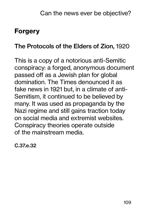# Forgery

#### The Protocols of the Elders of Zion, 1920

This is a copy of a notorious anti-Semitic conspiracy: a forged, anonymous document passed off as a Jewish plan for global domination. The Times denounced it as fake news in 1921 but, in a climate of anti-Semitism, it continued to be believed by many. It was used as propaganda by the Nazi regime and still gains traction today on social media and extremist websites. Conspiracy theories operate outside of the mainstream media.

C.37.e.32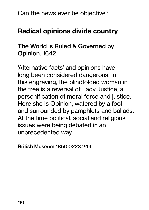# Radical opinions divide country

### The World is Ruled & Governed by Opinion, 1642

'Alternative facts' and opinions have long been considered dangerous. In this engraving, the blindfolded woman in the tree is a reversal of Lady Justice, a personification of moral force and justice. Here she is Opinion, watered by a fool and surrounded by pamphlets and ballads. At the time political, social and religious issues were being debated in an unprecedented way.

British Museum 1850,0223.244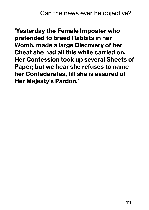'Yesterday the Female Imposter who pretended to breed Rabbits in her Womb, made a large Discovery of her Cheat she had all this while carried on. Her Confession took up several Sheets of Paper; but we hear she refuses to name her Confederates, till she is assured of Her Majesty's Pardon.'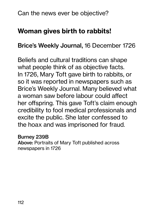# Woman gives birth to rabbits!

Brice's Weekly Journal, 16 December 1726

Beliefs and cultural traditions can shape what people think of as objective facts. In 1726, Mary Toft gave birth to rabbits, or so it was reported in newspapers such as Brice's Weekly Journal. Many believed what a woman saw before labour could affect her offspring. This gave Toft's claim enough credibility to fool medical professionals and excite the public. She later confessed to the hoax and was imprisoned for fraud.

#### Burney 239B

Above: Portraits of Mary Toft published across newspapers in 1726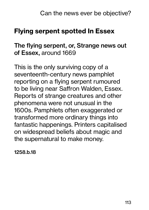# Flying serpent spotted In Essex

#### The flying serpent, or, Strange news out of Essex, around 1669

This is the only surviving copy of a seventeenth-century news pamphlet reporting on a flying serpent rumoured to be living near Saffron Walden, Essex. Reports of strange creatures and other phenomena were not unusual in the 1600s. Pamphlets often exaggerated or transformed more ordinary things into fantastic happenings. Printers capitalised on widespread beliefs about magic and the supernatural to make money.

1258.b.18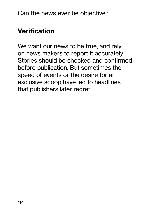# Verification

We want our news to be true, and rely on news makers to report it accurately. Stories should be checked and confirmed before publication. But sometimes the speed of events or the desire for an exclusive scoop have led to headlines that publishers later regret.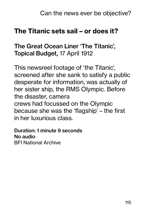## The Titanic sets sail – or does it?

#### The Great Ocean Liner 'The Titanic', Topical Budget, 17 April 1912

This newsreel footage of 'the Titanic', screened after she sank to satisfy a public desperate for information, was actually of her sister ship, the RMS Olympic. Before the disaster, camera crews had focussed on the Olympic because she was the 'flagship' – the first in her luxurious class.

Duration: 1 minute 9 seconds No audio BFI National Archive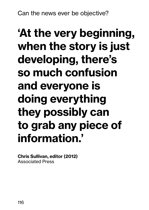# 'At the very beginning, when the story is just developing, there's so much confusion and everyone is doing everything they possibly can to grab any piece of information.'

Chris Sullivan, editor (2012) Associated Press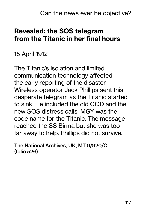# Revealed: the SOS telegram from the Titanic in her final hours

#### 15 April 1912

The Titanic's isolation and limited communication technology affected the early reporting of the disaster. Wireless operator Jack Phillips sent this desperate telegram as the Titanic started to sink. He included the old CQD and the new SOS distress calls. MGY was the code name for the Titanic. The message reached the SS Birma but she was too far away to help. Phillips did not survive.

The National Archives, UK, MT 9/920/C (folio 526)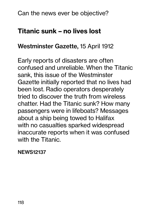# Titanic sunk – no lives lost

#### Westminster Gazette, 15 April 1912

Early reports of disasters are often confused and unreliable. When the Titanic sank, this issue of the Westminster Gazette initially reported that no lives had been lost. Radio operators desperately tried to discover the truth from wireless chatter. Had the Titanic sunk? How many passengers were in lifeboats? Messages about a ship being towed to Halifax with no casualties sparked widespread inaccurate reports when it was confused with the Titanic.

#### NEWS12137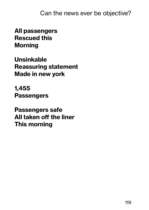All passengers Rescued this Morning

Unsinkable Reassuring statement Made in new york

1,455 **Passengers** 

Passengers safe All taken off the liner This morning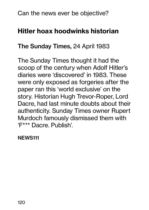# Hitler hoax hoodwinks historian

#### The Sunday Times, 24 April 1983

The Sunday Times thought it had the scoop of the century when Adolf Hitler's diaries were 'discovered' in 1983. These were only exposed as forgeries after the paper ran this 'world exclusive' on the story. Historian Hugh Trevor-Roper, Lord Dacre, had last minute doubts about their authenticity. Sunday Times owner Rupert Murdoch famously dismissed them with 'F\*\*\* Dacre. Publish'.

NEWS111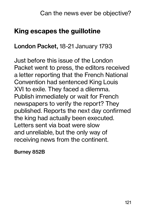# King escapes the guillotine

#### London Packet, 18-21 January 1793

Just before this issue of the London Packet went to press, the editors received a letter reporting that the French National Convention had sentenced King Louis XVI to exile. They faced a dilemma. Publish immediately or wait for French newspapers to verify the report? They published. Reports the next day confirmed the king had actually been executed. Letters sent via boat were slow and unreliable, but the only way of receiving news from the continent.

Burney 852B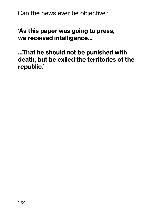'As this paper was going to press, we received intelligence...

...That he should not be punished with death, but be exiled the territories of the republic.'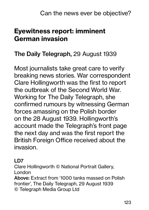# Eyewitness report: imminent German invasion

### The Daily Telegraph, 29 August 1939

Most journalists take great care to verify breaking news stories. War correspondent Clare Hollingworth was the first to report the outbreak of the Second World War. Working for The Daily Telegraph, she confirmed rumours by witnessing German forces amassing on the Polish border on the 28 August 1939. Hollingworth's account made the Telegraph's front page the next day and was the first report the British Foreign Office received about the invasion.

#### LD7

Clare Hollingworth © National Portrait Gallery, London

Above: Extract from '1000 tanks massed on Polish frontier', The Daily Telegraph, 29 August 1939 © Telegraph Media Group Ltd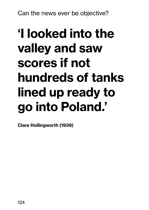# 'I looked into the valley and saw scores if not hundreds of tanks lined up ready to go into Poland.'

Clare Hollingworth (1939)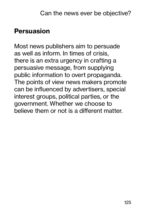# Persuasion

Most news publishers aim to persuade as well as inform. In times of crisis, there is an extra urgency in crafting a persuasive message, from supplying public information to overt propaganda. The points of view news makers promote can be influenced by advertisers, special interest groups, political parties, or the government. Whether we choose to believe them or not is a different matter.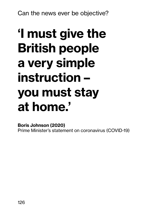# 'I must give the British people a very simple instruction – you must stay at home.'

Boris Johnson (2020) Prime Minister's statement on coronavirus (COVID-19)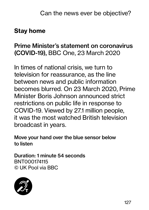### Stay home

### Prime Minister's statement on coronavirus (COVID-19), BBC One, 23 March 2020

In times of national crisis, we turn to television for reassurance, as the line between news and public information becomes blurred. On 23 March 2020, Prime Minister Boris Johnson announced strict restrictions on public life in response to COVID-19. Viewed by 27.1 million people, it was the most watched British television broadcast in years.

Move your hand over the blue sensor below to listen

Duration: 1 minute 54 seconds BNT000174115 © UK Pool via BBC

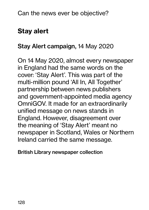# Stay alert

#### Stay Alert campaign, 14 May 2020

On 14 May 2020, almost every newspaper in England had the same words on the cover: 'Stay Alert'. This was part of the multi-million pound 'All In, All Together' partnership between news publishers and government-appointed media agency OmniGOV. It made for an extraordinarily unified message on news stands in England. However, disagreement over the meaning of 'Stay Alert' meant no newspaper in Scotland, Wales or Northern Ireland carried the same message.

British Library newspaper collection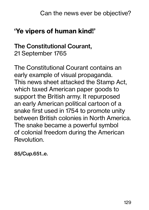# 'Ye vipers of human kind!'

#### The Constitutional Courant, 21 September 1765

The Constitutional Courant contains an early example of visual propaganda. This news sheet attacked the Stamp Act, which taxed American paper goods to support the British army. It repurposed an early American political cartoon of a snake first used in 1754 to promote unity between British colonies in North America. The snake became a powerful symbol of colonial freedom during the American Revolution.

85/Cup.651..e.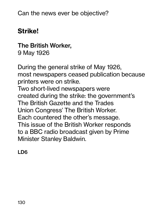# Strike!

The British Worker, 9 May 1926

During the general strike of May 1926, most newspapers ceased publication because printers were on strike. Two short-lived newspapers were created during the strike: the government's The British Gazette and the Trades Union Congress' The British Worker. Each countered the other's message. This issue of the British Worker responds to a BBC radio broadcast given by Prime Minister Stanley Baldwin.

LD6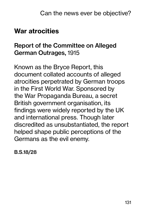## War atrocities

### Report of the Committee on Alleged German Outrages, 1915

Known as the Bryce Report, this document collated accounts of alleged atrocities perpetrated by German troops in the First World War. Sponsored by the War Propaganda Bureau, a secret British government organisation, its findings were widely reported by the UK and international press. Though later discredited as unsubstantiated, the report helped shape public perceptions of the Germans as the evil enemy.

B.S.18/28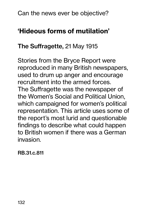# 'Hideous forms of mutilation'

#### The Suffragette, 21 May 1915

Stories from the Bryce Report were reproduced in many British newspapers, used to drum up anger and encourage recruitment into the armed forces. The Suffragette was the newspaper of the Women's Social and Political Union, which campaigned for women's political representation. This article uses some of the report's most lurid and questionable findings to describe what could happen to British women if there was a German invasion.

RB.31.c.811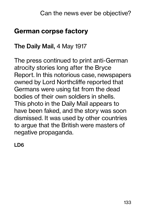# German corpse factory

#### The Daily Mail, 4 May 1917

The press continued to print anti-German atrocity stories long after the Bryce Report. In this notorious case, newspapers owned by Lord Northcliffe reported that Germans were using fat from the dead bodies of their own soldiers in shells. This photo in the Daily Mail appears to have been faked, and the story was soon dismissed. It was used by other countries to argue that the British were masters of negative propaganda.

LD6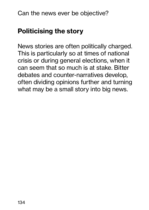# Politicising the story

News stories are often politically charged. This is particularly so at times of national crisis or during general elections, when it can seem that so much is at stake. Bitter debates and counter-narratives develop, often dividing opinions further and turning what may be a small story into big news.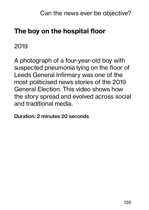# The boy on the hospital floor

2019

A photograph of a four-year-old boy with suspected pneumonia lying on the floor of Leeds General Infirmary was one of the most politicised news stories of the 2019 General Election. This video shows how the story spread and evolved across social and traditional media.

Duration: 2 minutes 20 seconds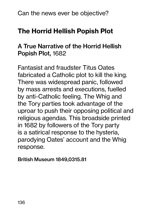# The Horrid Hellish Popish Plot

#### A True Narrative of the Horrid Hellish Popish Plot, 1682

Fantasist and fraudster Titus Oates fabricated a Catholic plot to kill the king. There was widespread panic, followed by mass arrests and executions, fuelled by anti-Catholic feeling. The Whig and the Tory parties took advantage of the uproar to push their opposing political and religious agendas. This broadside printed in 1682 by followers of the Tory party is a satirical response to the hysteria, parodying Oates' account and the Whig response.

British Museum 1849,0315.81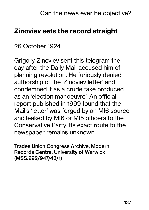## Zinoviev sets the record straight

#### 26 October 1924

Grigory Zinoviev sent this telegram the day after the Daily Mail accused him of planning revolution. He furiously denied authorship of the 'Zinoviev letter' and condemned it as a crude fake produced as an 'election manoeuvre'. An official report published in 1999 found that the Mail's 'letter' was forged by an MI6 source and leaked by MI6 or MI5 officers to the Conservative Party. Its exact route to the newspaper remains unknown.

Trades Union Congress Archive, Modern Records Centre, University of Warwick (MSS.292/947/43/1)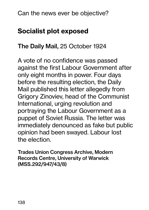# Socialist plot exposed

#### The Daily Mail, 25 October 1924

A vote of no confidence was passed against the first Labour Government after only eight months in power. Four days before the resulting election, the Daily Mail published this letter allegedly from Grigory Zinoviev, head of the Communist International, urging revolution and portraying the Labour Government as a puppet of Soviet Russia. The letter was immediately denounced as fake but public opinion had been swayed. Labour lost the election.

Trades Union Congress Archive, Modern Records Centre, University of Warwick (MSS.292/947/43/8)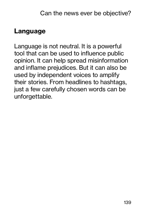## Language

Language is not neutral. It is a powerful tool that can be used to influence public opinion. It can help spread misinformation and inflame prejudices. But it can also be used by independent voices to amplify their stories. From headlines to hashtags, just a few carefully chosen words can be unforgettable.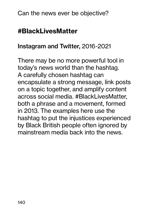## #BlackLivesMatter

#### Instagram and Twitter, 2016-2021

There may be no more powerful tool in today's news world than the hashtag. A carefully chosen hashtag can encapsulate a strong message, link posts on a topic together, and amplify content across social media. #BlackLivesMatter, both a phrase and a movement, formed in 2013. The examples here use the hashtag to put the injustices experienced by Black British people often ignored by mainstream media back into the news.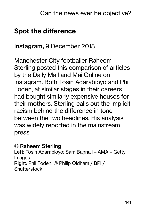# Spot the difference

#### Instagram, 9 December 2018

Manchester City footballer Raheem Sterling posted this comparison of articles by the Daily Mail and MailOnline on Instagram. Both Tosin Adarabioyo and Phil Foden, at similar stages in their careers, had bought similarly expensive houses for their mothers. Sterling calls out the implicit racism behind the difference in tone between the two headlines. His analysis was widely reported in the mainstream press.

#### © Raheem Sterling

Left: Tosin Adarabioyo: Sam Bagnall – AMA – Getty Images. Right: Phil Foden: © Philip Oldham / BPI / **Shutterstock**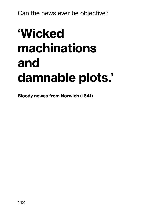# 'Wicked machinations and damnable plots.'

Bloody newes from Norwich (1641)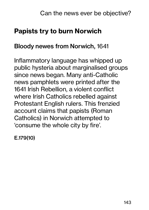# Papists try to burn Norwich

#### Bloody newes from Norwich, 1641

Inflammatory language has whipped up public hysteria about marginalised groups since news began. Many anti-Catholic news pamphlets were printed after the 1641 Irish Rebellion, a violent conflict where Irish Catholics rebelled against Protestant English rulers. This frenzied account claims that papists (Roman Catholics) in Norwich attempted to 'consume the whole city by fire'.

E.179(10)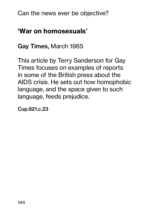# 'War on homosexuals'

Gay Times, March 1985

This article by Terry Sanderson for Gay Times focuses on examples of reports in some of the British press about the AIDS crisis. He sets out how homophobic language, and the space given to such language, feeds prejudice.

Cup.821.c.23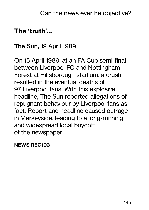# The 'truth'…

#### The Sun, 19 April 1989

On 15 April 1989, at an FA Cup semi-final between Liverpool FC and Nottingham Forest at Hillsborough stadium, a crush resulted in the eventual deaths of 97 Liverpool fans. With this explosive headline, The Sun reported allegations of repugnant behaviour by Liverpool fans as fact. Report and headline caused outrage in Merseyside, leading to a long-running and widespread local boycott of the newspaper.

NEWS.REG103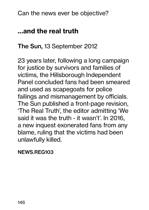Can the news ever be objective?

# …and the real truth

# The Sun, 13 September 2012

23 years later, following a long campaign for justice by survivors and families of victims, the Hillsborough Independent Panel concluded fans had been smeared and used as scapegoats for police failings and mismanagement by officials. The Sun published a front-page revision, 'The Real Truth', the editor admitting 'We said it was the truth - it wasn't'. In 2016, a new inquest exonerated fans from any blame, ruling that the victims had been unlawfully killed.

### NEWS.REG103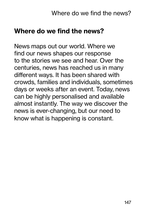News maps out our world. Where we find our news shapes our response to the stories we see and hear. Over the centuries, news has reached us in many different ways. It has been shared with crowds, families and individuals, sometimes days or weeks after an event. Today, news can be highly personalised and available almost instantly. The way we discover the news is ever-changing, but our need to know what is happening is constant.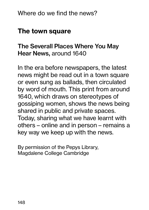# The town square

# The Severall Places Where You May Hear News, around 1640

In the era before newspapers, the latest news might be read out in a town square or even sung as ballads, then circulated by word of mouth. This print from around 1640, which draws on stereotypes of gossiping women, shows the news being shared in public and private spaces. Today, sharing what we have learnt with others – online and in person – remains a key way we keep up with the news.

By permission of the Pepys Library, Magdalene College Cambridge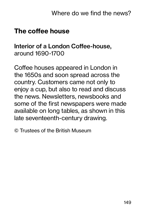# The coffee house

## Interior of a London Coffee-house, around 1690-1700

Coffee houses appeared in London in the 1650s and soon spread across the country. Customers came not only to enjoy a cup, but also to read and discuss the news. Newsletters, newsbooks and some of the first newspapers were made available on long tables, as shown in this late seventeenth-century drawing.

© Trustees of the British Museum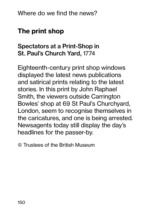# The print shop

# Spectators at a Print-Shop in St. Paul's Church Yard, 1774

Eighteenth-century print shop windows displayed the latest news publications and satirical prints relating to the latest stories. In this print by John Raphael Smith, the viewers outside Carrington Bowles' shop at 69 St Paul's Churchyard, London, seem to recognise themselves in the caricatures, and one is being arrested. Newsagents today still display the day's headlines for the passer-by.

© Trustees of the British Museum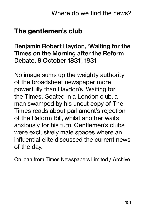# The gentlemen's club

Benjamin Robert Haydon, 'Waiting for the Times on the Morning after the Reform Debate, 8 October 1831', 1831

No image sums up the weighty authority of the broadsheet newspaper more powerfully than Haydon's 'Waiting for the Times'. Seated in a London club, a man swamped by his uncut copy of The Times reads about parliament's rejection of the Reform Bill, whilst another waits anxiously for his turn. Gentlemen's clubs were exclusively male spaces where an influential elite discussed the current news of the day.

On loan from Times Newspapers Limited / Archive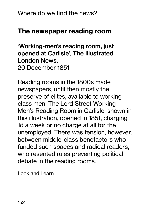# The newspaper reading room

'Working-men's reading room, just opened at Carlisle', The Illustrated London News, 20 December 1851

Reading rooms in the 1800s made newspapers, until then mostly the preserve of elites, available to working class men. The Lord Street Working Men's Reading Room in Carlisle, shown in this illustration, opened in 1851, charging 1d a week or no charge at all for the unemployed. There was tension, however, between middle-class benefactors who funded such spaces and radical readers, who resented rules preventing political debate in the reading rooms.

Look and Learn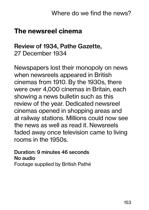# The newsreel cinema

## Review of 1934, Pathe Gazette, 27 December 1934

Newspapers lost their monopoly on news when newsreels appeared in British cinemas from 1910. By the 1930s, there were over 4,000 cinemas in Britain, each showing a news bulletin such as this review of the year. Dedicated newsreel cinemas opened in shopping areas and at railway stations. Millions could now see the news as well as read it. Newsreels faded away once television came to living rooms in the 1950s.

Duration: 9 minutes 46 seconds No audio Footage supplied by British Pathé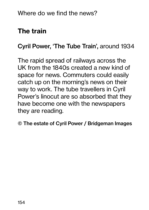# The train

# Cyril Power, 'The Tube Train', around 1934

The rapid spread of railways across the UK from the 1840s created a new kind of space for news. Commuters could easily catch up on the morning's news on their way to work. The tube travellers in Cyril Power's linocut are so absorbed that they have become one with the newspapers they are reading.

© The estate of Cyril Power / Bridgeman Images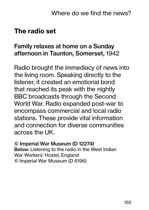# The radio set

## Family relaxes at home on a Sunday afternoon in Taunton, Somerset, 1942

Radio brought the immediacy of news into the living room. Speaking directly to the listener, it created an emotional bond that reached its peak with the nightly BBC broadcasts through the Second World War. Radio expanded post-war to encompass commercial and local radio stations. These provide vital information and connection for diverse communities across the UK.

#### © Imperial War Museum (D 12274) Below: Listening to the radio in the West Indian War Workers' Hostel, England © Imperial War Museum (D 6196)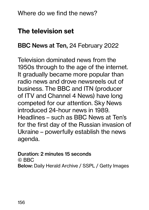# The television set

## BBC News at Ten, 24 February 2022

Television dominated news from the 1950s through to the age of the internet. It gradually became more popular than radio news and drove newsreels out of business. The BBC and ITN (producer of ITV and Channel 4 News) have long competed for our attention. Sky News introduced 24-hour news in 1989. Headlines – such as BBC News at Ten's for the first day of the Russian invasion of Ukraine – powerfully establish the news agenda.

#### Duration: 2 minutes 15 seconds

© BBC

Below: Daily Herald Archive / SSPL / Getty Images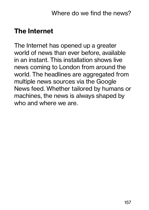# The Internet

The Internet has opened up a greater world of news than ever before, available in an instant. This installation shows live news coming to London from around the world. The headlines are aggregated from multiple news sources via the Google News feed. Whether tailored by humans or machines, the news is always shaped by who and where we are.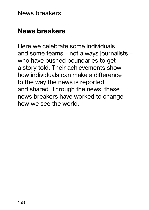News breakers

# News breakers

Here we celebrate some individuals and some teams – not always journalists – who have pushed boundaries to get a story told. Their achievements show how individuals can make a difference to the way the news is reported and shared. Through the news, these news breakers have worked to change how we see the world.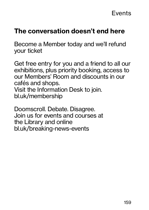# The conversation doesn't end here

Become a Member today and we'll refund your ticket

Get free entry for you and a friend to all our exhibitions, plus priority booking, access to our Members' Room and discounts in our cafés and shops. Visit the Information Desk to join. bl.uk/membership

Doomscroll. Debate. Disagree. Join us for events and courses at the Library and online bl.uk/breaking-news-events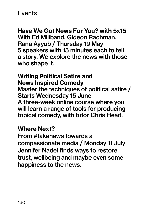## Events

Have We Got News For You? with 5x15 With Ed Miliband, Gideon Rachman, Rana Ayyub / Thursday 19 May 5 speakers with 15 minutes each to tell a story. We explore the news with those who shape it.

Writing Political Satire and News Inspired Comedy Master the techniques of political satire / Starts Wednesday 15 June A three-week online course where you will learn a range of tools for producing topical comedy, with tutor Chris Head.

## Where Next?

From #fakenews towards a compassionate media / Monday 11 July Jennifer Nadel finds ways to restore trust, wellbeing and maybe even some happiness to the news.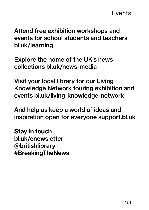Attend free exhibition workshops and events for school students and teachers bl.uk/learning

Explore the home of the UK's news collections bl.uk/news-media

Visit your local library for our Living Knowledge Network touring exhibition and events bl.uk/living-knowledge-network

And help us keep a world of ideas and inspiration open for everyone support.bl.uk

Stay in touch bl.uk/enewsletter @britishlibrary #BreakingTheNews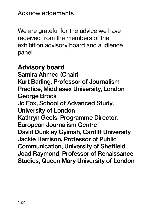We are grateful for the advice we have received from the members of the exhibition advisory board and audience panel:

# Advisory board Samira Ahmed (Chair) Kurt Barling, Professor of Journalism Practice, Middlesex University, London George Brock Jo Fox, School of Advanced Study, University of London Kathryn Geels, Programme Director, European Journalism Centre David Dunkley Gyimah, Cardiff University Jackie Harrison, Professor of Public Communication, University of Sheffield Joad Raymond, Professor of Renaissance Studies, Queen Mary University of London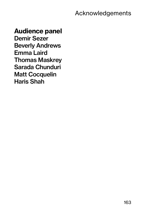Acknowledgements

## Audience panel

Demir Sezer Beverly Andrews Emma Laird Thomas Maskrey Sarada Chunduri Matt Cocquelin Haris Shah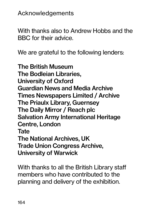Acknowledgements

With thanks also to Andrew Hobbs and the BBC for their advice.

We are grateful to the following lenders:

The British Museum The Bodleian Libraries, University of Oxford Guardian News and Media Archive Times Newspapers Limited / Archive The Priaulx Library, Guernsey The Daily Mirror / Reach plc Salvation Army International Heritage Centre, London **Tate** The National Archives, UK Trade Union Congress Archive, University of Warwick

With thanks to all the British Library staff members who have contributed to the planning and delivery of the exhibition.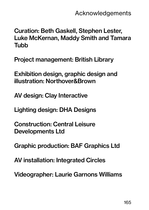Curation: Beth Gaskell, Stephen Lester, Luke McKernan, Maddy Smith and Tamara Tubb

Project management: British Library

Exhibition design, graphic design and illustration: Northover&Brown

AV design: Clay Interactive

Lighting design: DHA Designs

Construction: Central Leisure Developments Ltd

Graphic production: BAF Graphics Ltd

AV installation: Integrated Circles

Videographer: Laurie Garnons Williams